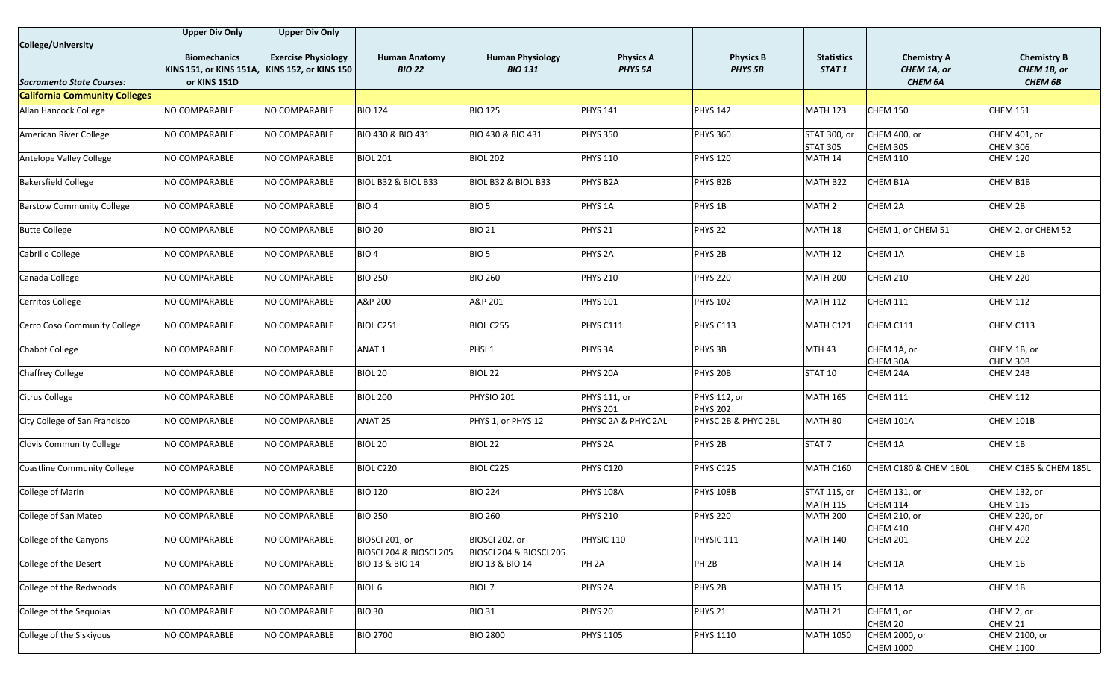|                                      | <b>Upper Div Only</b>                         | <b>Upper Div Only</b>      |                                                      |                                                      |                                 |                                 |                                 |                                        |                                 |
|--------------------------------------|-----------------------------------------------|----------------------------|------------------------------------------------------|------------------------------------------------------|---------------------------------|---------------------------------|---------------------------------|----------------------------------------|---------------------------------|
| <b>College/University</b>            |                                               |                            |                                                      |                                                      |                                 |                                 |                                 |                                        |                                 |
|                                      | <b>Biomechanics</b>                           | <b>Exercise Physiology</b> | <b>Human Anatomy</b>                                 | <b>Human Physiology</b>                              | <b>Physics A</b>                | <b>Physics B</b>                | <b>Statistics</b>               | <b>Chemistry A</b>                     | <b>Chemistry B</b>              |
|                                      | KINS 151, or KINS 151A, KINS 152, or KINS 150 |                            | <b>BIO 22</b>                                        | <b>BIO 131</b>                                       | PHYS <sub>5A</sub>              | <b>PHYS 5B</b>                  | STAT <sub>1</sub>               |                                        | CHEM 1B, or                     |
|                                      |                                               |                            |                                                      |                                                      |                                 |                                 |                                 | CHEM 1A, or                            |                                 |
| Sacramento State Courses:            | or KINS 151D                                  |                            |                                                      |                                                      |                                 |                                 |                                 | CHEM 6A                                | <b>CHEM 6B</b>                  |
| <b>California Community Colleges</b> |                                               |                            |                                                      |                                                      |                                 |                                 |                                 |                                        |                                 |
| Allan Hancock College                | NO COMPARABLE                                 | NO COMPARABLE              | <b>BIO 124</b>                                       | <b>BIO 125</b>                                       | <b>PHYS 141</b>                 | <b>PHYS 142</b>                 | <b>MATH 123</b>                 | <b>CHEM 150</b>                        | <b>CHEM 151</b>                 |
| American River College               | NO COMPARABLE                                 | NO COMPARABLE              | <b>BIO 430 &amp; BIO 431</b>                         | <b>BIO 430 &amp; BIO 431</b>                         | <b>PHYS 350</b>                 | <b>PHYS 360</b>                 | STAT 300, or<br><b>STAT 305</b> | <b>CHEM 400, or</b><br><b>CHEM 305</b> | CHEM 401, or<br><b>CHEM 306</b> |
| Antelope Valley College              | NO COMPARABLE                                 | NO COMPARABLE              | <b>BIOL 201</b>                                      | <b>BIOL 202</b>                                      | <b>PHYS 110</b>                 | <b>PHYS 120</b>                 | MATH 14                         | <b>CHEM 110</b>                        | <b>CHEM 120</b>                 |
| <b>Bakersfield College</b>           | NO COMPARABLE                                 | NO COMPARABLE              | <b>BIOL B32 &amp; BIOL B33</b>                       | BIOL B32 & BIOL B33                                  | PHYS B2A                        | PHYS B2B                        | MATH B22                        | CHEM B1A                               | CHEM B1B                        |
| <b>Barstow Community College</b>     | NO COMPARABLE                                 | NO COMPARABLE              | BIO <sub>4</sub>                                     | BIO <sub>5</sub>                                     | PHYS <sub>1A</sub>              | PHYS <sub>1B</sub>              | MATH <sub>2</sub>               | CHEM 2A                                | CHEM 2B                         |
| <b>Butte College</b>                 | NO COMPARABLE                                 | NO COMPARABLE              | <b>BIO 20</b>                                        | <b>BIO 21</b>                                        | PHYS <sub>21</sub>              | PHYS <sub>22</sub>              | MATH 18                         | CHEM 1, or CHEM 51                     | CHEM 2, or CHEM 52              |
| Cabrillo College                     | NO COMPARABLE                                 | NO COMPARABLE              | BIO <sub>4</sub>                                     | BIO <sub>5</sub>                                     | PHYS <sub>2A</sub>              | PHYS <sub>2B</sub>              | MATH 12                         | CHEM 1A                                | CHEM 1B                         |
| Canada College                       | NO COMPARABLE                                 | NO COMPARABLE              | <b>BIO 250</b>                                       | <b>BIO 260</b>                                       | <b>PHYS 210</b>                 | <b>PHYS 220</b>                 | <b>MATH 200</b>                 | <b>CHEM 210</b>                        | <b>CHEM 220</b>                 |
| Cerritos College                     | NO COMPARABLE                                 | NO COMPARABLE              | A&P 200                                              | A&P 201                                              | <b>PHYS 101</b>                 | <b>PHYS 102</b>                 | <b>MATH 112</b>                 | <b>CHEM 111</b>                        | <b>CHEM 112</b>                 |
| Cerro Coso Community College         | NO COMPARABLE                                 | NO COMPARABLE              | BIOL C251                                            | <b>BIOL C255</b>                                     | PHYS C111                       | PHYS C113                       | MATH C121                       | CHEM C111                              | CHEM C113                       |
| Chabot College                       | NO COMPARABLE                                 | NO COMPARABLE              | ANAT <sub>1</sub>                                    | PHSI <sub>1</sub>                                    | PHYS <sub>3A</sub>              | PHYS <sub>3B</sub>              | <b>MTH 43</b>                   | CHEM 1A, or<br>CHEM 30A                | CHEM 1B, or<br>CHEM 30B         |
| Chaffrey College                     | NO COMPARABLE                                 | NO COMPARABLE              | BIOL 20                                              | BIOL <sub>22</sub>                                   | PHYS 20A                        | PHYS 20B                        | STAT 10                         | CHEM 24A                               | CHEM 24B                        |
| <b>Citrus College</b>                | NO COMPARABLE                                 | NO COMPARABLE              | <b>BIOL 200</b>                                      | PHYSIO 201                                           | PHYS 111, or<br><b>PHYS 201</b> | PHYS 112, or<br><b>PHYS 202</b> | <b>MATH 165</b>                 | <b>CHEM 111</b>                        | <b>CHEM 112</b>                 |
| City College of San Francisco        | NO COMPARABLE                                 | NO COMPARABLE              | ANAT 25                                              | PHYS 1, or PHYS 12                                   | PHYSC 2A & PHYC 2AL             | PHYSC 2B & PHYC 2BL             | MATH 80                         | CHEM 101A                              | CHEM 101B                       |
| <b>Clovis Community College</b>      | NO COMPARABLE                                 | NO COMPARABLE              | BIOL 20                                              | BIOL <sub>22</sub>                                   | PHYS <sub>2A</sub>              | PHYS <sub>2B</sub>              | STAT <sub>7</sub>               | CHEM 1A                                | CHEM 1B                         |
| Coastline Community College          | NO COMPARABLE                                 | NO COMPARABLE              | BIOL C220                                            | BIOL C225                                            | PHYS C120                       | PHYS C125                       | MATH C160                       | CHEM C180 & CHEM 180L                  | CHEM C185 & CHEM 185L           |
| College of Marin                     | NO COMPARABLE                                 | NO COMPARABLE              | <b>BIO 120</b>                                       | <b>BIO 224</b>                                       | <b>PHYS 108A</b>                | <b>PHYS 108B</b>                | STAT 115, or<br><b>MATH 115</b> | CHEM 131, or<br><b>CHEM 114</b>        | CHEM 132, or<br>CHEM 115        |
| College of San Mateo                 | NO COMPARABLE                                 | NO COMPARABLE              | <b>BIO 250</b>                                       | <b>BIO 260</b>                                       | <b>PHYS 210</b>                 | <b>PHYS 220</b>                 | <b>MATH 200</b>                 | CHEM 210, or<br><b>CHEM 410</b>        | CHEM 220, or<br><b>CHEM 420</b> |
| College of the Canyons               | NO COMPARABLE                                 | NO COMPARABLE              | BIOSCI 201, or<br><b>BIOSCI 204 &amp; BIOSCI 205</b> | BIOSCI 202, or<br><b>BIOSCI 204 &amp; BIOSCI 205</b> | PHYSIC 110                      | PHYSIC 111                      | <b>MATH 140</b>                 | <b>CHEM 201</b>                        | <b>CHEM 202</b>                 |
| College of the Desert                | NO COMPARABLE                                 | NO COMPARABLE              | BIO 13 & BIO 14                                      | BIO 13 & BIO 14                                      | PH <sub>2A</sub>                | PH <sub>2B</sub>                | MATH 14                         | CHEM 1A                                | CHEM 1B                         |
| College of the Redwoods              | NO COMPARABLE                                 | NO COMPARABLE              | BIOL <sub>6</sub>                                    | <b>BIOL 7</b>                                        | PHYS <sub>2A</sub>              | PHYS <sub>2B</sub>              | <b>MATH 15</b>                  | CHEM 1A                                | CHEM 1B                         |
| College of the Sequoias              | NO COMPARABLE                                 | NO COMPARABLE              | <b>BIO 30</b>                                        | <b>BIO 31</b>                                        | PHYS 20                         | PHYS <sub>21</sub>              | MATH 21                         | CHEM 1, or                             | CHEM 2, or                      |
| College of the Siskiyous             | NO COMPARABLE                                 | NO COMPARABLE              | <b>BIO 2700</b>                                      | <b>BIO 2800</b>                                      | <b>PHYS 1105</b>                | <b>PHYS 1110</b>                | <b>MATH 1050</b>                | CHEM 20<br>CHEM 2000, or               | CHEM 21<br>CHEM 2100, or        |
|                                      |                                               |                            |                                                      |                                                      |                                 |                                 |                                 | <b>CHEM 1000</b>                       | <b>CHEM 1100</b>                |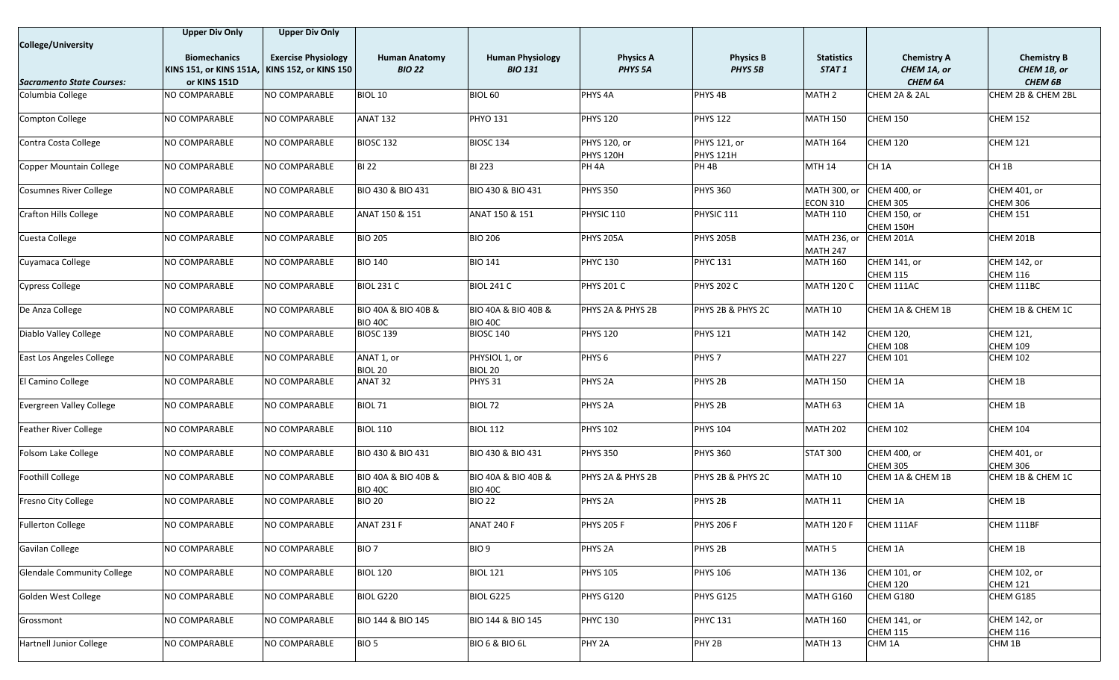|                                   | <b>Upper Div Only</b>         | <b>Upper Div Only</b>        |                                                      |                                       |                                  |                                  |                                 |                                        |                                      |
|-----------------------------------|-------------------------------|------------------------------|------------------------------------------------------|---------------------------------------|----------------------------------|----------------------------------|---------------------------------|----------------------------------------|--------------------------------------|
| College/University                |                               |                              |                                                      |                                       |                                  |                                  |                                 |                                        |                                      |
|                                   | <b>Biomechanics</b>           | <b>Exercise Physiology</b>   | <b>Human Anatomy</b>                                 | <b>Human Physiology</b>               | <b>Physics A</b>                 | <b>Physics B</b>                 | <b>Statistics</b>               | <b>Chemistry A</b>                     | <b>Chemistry B</b>                   |
| <b>Sacramento State Courses:</b>  | KINS 151, or KINS 151A,       | <b>KINS 152, or KINS 150</b> | <b>BIO 22</b>                                        | <b>BIO 131</b>                        | PHYS <sub>5A</sub>               | PHYS <sub>5B</sub>               | STAT 1                          | CHEM 1A, or                            | CHEM 1B, or                          |
| Columbia College                  | or KINS 151D<br>NO COMPARABLE | NO COMPARABLE                | <b>BIOL 10</b>                                       | <b>BIOL 60</b>                        | PHYS <sub>4A</sub>               | PHYS <sub>4B</sub>               | MATH <sub>2</sub>               | CHEM 6A<br>CHEM 2A & 2AL               | <b>CHEM 6B</b><br>CHEM 2B & CHEM 2BL |
|                                   |                               |                              |                                                      |                                       |                                  |                                  |                                 |                                        |                                      |
| Compton College                   | NO COMPARABLE                 | NO COMPARABLE                | <b>ANAT 132</b>                                      | <b>PHYO 131</b>                       | <b>PHYS 120</b>                  | <b>PHYS 122</b>                  | <b>MATH 150</b>                 | <b>CHEM 150</b>                        | <b>CHEM 152</b>                      |
| Contra Costa College              | NO COMPARABLE                 | NO COMPARABLE                | BIOSC <sub>132</sub>                                 | <b>BIOSC 134</b>                      | PHYS 120, or<br><b>PHYS 120H</b> | PHYS 121, or<br><b>PHYS 121H</b> | <b>MATH 164</b>                 | <b>CHEM 120</b>                        | <b>CHEM 121</b>                      |
| Copper Mountain College           | NO COMPARABLE                 | NO COMPARABLE                | <b>BI 22</b>                                         | <b>BI 223</b>                         | PH <sub>4A</sub>                 | PH <sub>4B</sub>                 | <b>MTH 14</b>                   | CH <sub>1</sub> A                      | CH <sub>1B</sub>                     |
| <b>Cosumnes River College</b>     | NO COMPARABLE                 | NO COMPARABLE                | <b>BIO 430 &amp; BIO 431</b>                         | BIO 430 & BIO 431                     | <b>PHYS 350</b>                  | <b>PHYS 360</b>                  | MATH 300, or<br><b>ECON 310</b> | CHEM 400, or<br><b>CHEM 305</b>        | CHEM 401, or<br><b>CHEM 306</b>      |
| <b>Crafton Hills College</b>      | NO COMPARABLE                 | NO COMPARABLE                | ANAT 150 & 151                                       | ANAT 150 & 151                        | PHYSIC 110                       | PHYSIC 111                       | <b>MATH 110</b>                 | CHEM 150, or                           | <b>CHEM 151</b>                      |
|                                   |                               |                              |                                                      |                                       |                                  |                                  |                                 | CHEM 150H                              |                                      |
| Cuesta College                    | NO COMPARABLE                 | NO COMPARABLE                | <b>BIO 205</b>                                       | <b>BIO 206</b>                        | <b>PHYS 205A</b>                 | <b>PHYS 205B</b>                 | MATH 236, or<br><b>MATH 247</b> | CHEM 201A                              | CHEM 201B                            |
| Cuyamaca College                  | NO COMPARABLE                 | NO COMPARABLE                | <b>BIO 140</b>                                       | <b>BIO 141</b>                        | <b>PHYC 130</b>                  | <b>PHYC 131</b>                  | <b>MATH 160</b>                 | <b>CHEM 141, or</b>                    | CHEM 142, or                         |
|                                   |                               |                              |                                                      |                                       |                                  |                                  |                                 | <b>CHEM 115</b>                        | <b>CHEM 116</b>                      |
| <b>Cypress College</b>            | NO COMPARABLE                 | NO COMPARABLE                | <b>BIOL 231 C</b>                                    | <b>BIOL 241 C</b>                     | <b>PHYS 201 C</b>                | <b>PHYS 202 C</b>                | <b>MATH 120 C</b>               | CHEM 111AC                             | CHEM 111BC                           |
| De Anza College                   | NO COMPARABLE                 | NO COMPARABLE                | <b>BIO 40A &amp; BIO 40B &amp;</b><br><b>BIO 40C</b> | BIO 40A & BIO 40B &<br><b>BIO 40C</b> | PHYS 2A & PHYS 2B                | PHYS 2B & PHYS 2C                | MATH 10                         | CHEM 1A & CHEM 1B                      | CHEM 1B & CHEM 1C                    |
| Diablo Valley College             | NO COMPARABLE                 | NO COMPARABLE                | BIOSC <sub>139</sub>                                 | <b>BIOSC 140</b>                      | <b>PHYS 120</b>                  | <b>PHYS 121</b>                  | <b>MATH 142</b>                 | CHEM 120,                              | CHEM 121,                            |
|                                   |                               |                              |                                                      |                                       |                                  |                                  |                                 | <b>CHEM 108</b>                        | <b>CHEM 109</b>                      |
| East Los Angeles College          | NO COMPARABLE                 | NO COMPARABLE                | ANAT 1, or<br>BIOL 20                                | PHYSIOL 1, or<br>BIOL 20              | PHYS <sub>6</sub>                | PHYS <sub>7</sub>                | MATH <sub>227</sub>             | CHEM 101                               | <b>CHEM 102</b>                      |
| El Camino College                 | NO COMPARABLE                 | NO COMPARABLE                | ANAT 32                                              | PHYS 31                               | PHYS <sub>2A</sub>               | PHYS <sub>2B</sub>               | <b>MATH 150</b>                 | CHEM 1A                                | CHEM 1B                              |
| Evergreen Valley College          | NO COMPARABLE                 | NO COMPARABLE                | BIOL 71                                              | BIOL 72                               | PHYS <sub>2A</sub>               | PHYS <sub>2B</sub>               | MATH 63                         | CHEM 1A                                | CHEM 1B                              |
| <b>Feather River College</b>      | NO COMPARABLE                 | NO COMPARABLE                | <b>BIOL 110</b>                                      | <b>BIOL 112</b>                       | <b>PHYS 102</b>                  | <b>PHYS 104</b>                  | <b>MATH 202</b>                 | <b>CHEM 102</b>                        | <b>CHEM 104</b>                      |
| Folsom Lake College               | NO COMPARABLE                 | NO COMPARABLE                | <b>BIO 430 &amp; BIO 431</b>                         | BIO 430 & BIO 431                     | <b>PHYS 350</b>                  | <b>PHYS 360</b>                  | <b>STAT 300</b>                 | <b>CHEM 400, or</b><br><b>CHEM 305</b> | CHEM 401, or<br><b>CHEM 306</b>      |
| Foothill College                  | NO COMPARABLE                 | NO COMPARABLE                | <b>BIO 40A &amp; BIO 40B &amp;</b><br><b>BIO 40C</b> | BIO 40A & BIO 40B &<br><b>BIO 40C</b> | PHYS 2A & PHYS 2B                | PHYS 2B & PHYS 2C                | MATH 10                         | CHEM 1A & CHEM 1B                      | CHEM 1B & CHEM 1C                    |
| Fresno City College               | NO COMPARABLE                 | NO COMPARABLE                | <b>BIO 20</b>                                        | <b>BIO 22</b>                         | PHYS <sub>2A</sub>               | PHYS <sub>2B</sub>               | MATH 11                         | CHEM 1A                                | CHEM 1B                              |
| <b>Fullerton College</b>          | NO COMPARABLE                 | NO COMPARABLE                | ANAT 231 F                                           | ANAT 240 F                            | <b>PHYS 205 F</b>                | <b>PHYS 206 F</b>                | <b>MATH 120 F</b>               | CHEM 111AF                             | CHEM 111BF                           |
| Gavilan College                   | NO COMPARABLE                 | NO COMPARABLE                | BIO <sub>7</sub>                                     | BIO <sub>9</sub>                      | PHYS <sub>2A</sub>               | PHYS <sub>2B</sub>               | MATH <sub>5</sub>               | CHEM 1A                                | CHEM 1B                              |
| <b>Glendale Community College</b> | NO COMPARABLE                 | NO COMPARABLE                | <b>BIOL 120</b>                                      | <b>BIOL 121</b>                       | <b>PHYS 105</b>                  | <b>PHYS 106</b>                  | <b>MATH 136</b>                 | CHEM 101, or                           | CHEM 102, or                         |
| Golden West College               | <b>NO COMPARABLE</b>          | NO COMPARABLE                | BIOL G220                                            | <b>BIOL G225</b>                      | PHYS G120                        | PHYS G125                        | MATH G160                       | <b>CHEM 120</b><br>CHEM G180           | <b>CHEM 121</b><br>CHEM G185         |
| Grossmont                         | NO COMPARABLE                 | NO COMPARABLE                | <b>BIO 144 &amp; BIO 145</b>                         | BIO 144 & BIO 145                     | <b>PHYC 130</b>                  | <b>PHYC 131</b>                  | <b>MATH 160</b>                 | <b>CHEM 141, or</b>                    | CHEM 142, or                         |
|                                   |                               |                              |                                                      |                                       |                                  |                                  |                                 | <b>CHEM 115</b>                        | <b>CHEM 116</b>                      |
| Hartnell Junior College           | NO COMPARABLE                 | NO COMPARABLE                | BIO <sub>5</sub>                                     | <b>BIO 6 &amp; BIO 6L</b>             | PHY <sub>2A</sub>                | PHY 2B                           | MATH 13                         | CHM 1A                                 | CHM 1B                               |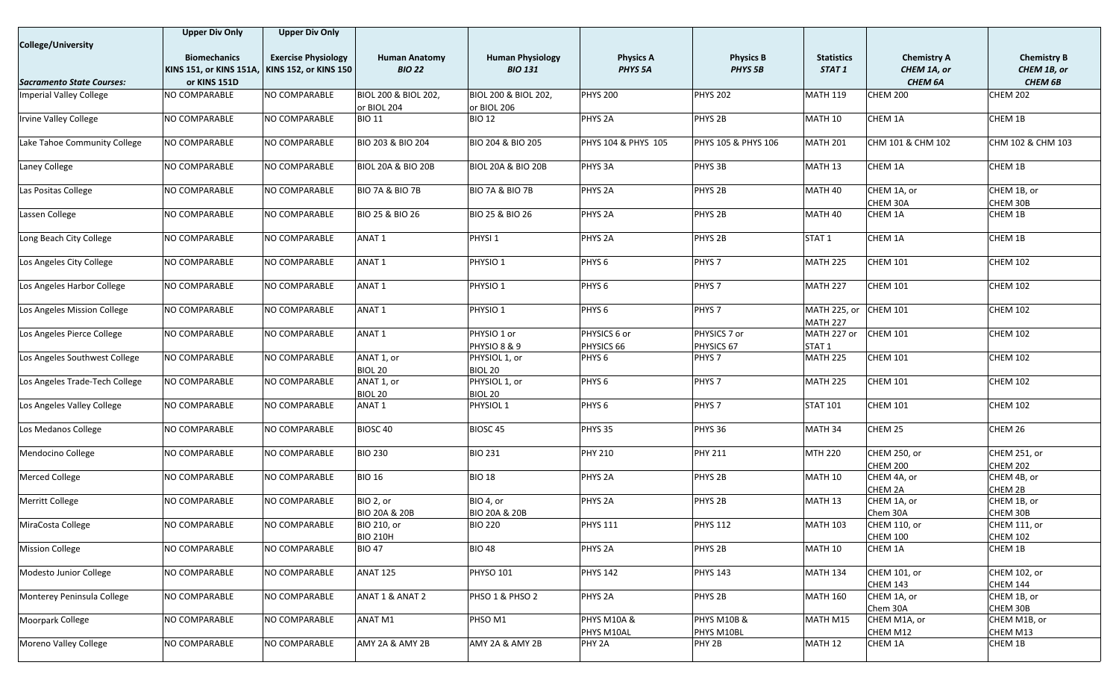|                                  | <b>Upper Div Only</b>   | <b>Upper Div Only</b>        |                                                |                                                |                        |                        |                                        |                                        |                                        |
|----------------------------------|-------------------------|------------------------------|------------------------------------------------|------------------------------------------------|------------------------|------------------------|----------------------------------------|----------------------------------------|----------------------------------------|
| <b>College/University</b>        |                         |                              |                                                |                                                |                        |                        |                                        |                                        |                                        |
|                                  | <b>Biomechanics</b>     | <b>Exercise Physiology</b>   | <b>Human Anatomy</b>                           | <b>Human Physiology</b>                        | <b>Physics A</b>       | <b>Physics B</b>       | <b>Statistics</b>                      | <b>Chemistry A</b>                     | <b>Chemistry B</b>                     |
|                                  | KINS 151, or KINS 151A, | <b>KINS 152, or KINS 150</b> | <b>BIO 22</b>                                  | <b>BIO 131</b>                                 | PHYS <sub>5A</sub>     | PHYS <sub>5B</sub>     | STAT 1                                 | CHEM 1A, or                            | CHEM 1B, or                            |
| <b>Sacramento State Courses:</b> | or KINS 151D            |                              |                                                |                                                |                        |                        |                                        | <b>CHEM 6A</b>                         | <b>CHEM 6B</b>                         |
| Imperial Valley College          | NO COMPARABLE           | NO COMPARABLE                | <b>BIOL 200 &amp; BIOL 202,</b><br>or BIOL 204 | <b>BIOL 200 &amp; BIOL 202,</b><br>or BIOL 206 | <b>PHYS 200</b>        | <b>PHYS 202</b>        | <b>MATH 119</b>                        | <b>CHEM 200</b>                        | <b>CHEM 202</b>                        |
| Irvine Valley College            | NO COMPARABLE           | NO COMPARABLE                | <b>BIO 11</b>                                  | <b>BIO 12</b>                                  | PHYS <sub>2A</sub>     | PHYS <sub>2B</sub>     | MATH 10                                | CHEM 1A                                | CHEM 1B                                |
| Lake Tahoe Community College     | NO COMPARABLE           | NO COMPARABLE                | <b>BIO 203 &amp; BIO 204</b>                   | BIO 204 & BIO 205                              | PHYS 104 & PHYS 105    | PHYS 105 & PHYS 106    | MATH 201                               | CHM 101 & CHM 102                      | CHM 102 & CHM 103                      |
| <b>Laney College</b>             | NO COMPARABLE           | NO COMPARABLE                | <b>BIOL 20A &amp; BIO 20B</b>                  | <b>BIOL 20A &amp; BIO 20B</b>                  | PHYS 3A                | PHYS 3B                | MATH <sub>13</sub>                     | CHEM 1A                                | CHEM 1B                                |
| Las Positas College              | NO COMPARABLE           | NO COMPARABLE                | BIO 7A & BIO 7B                                | <b>BIO 7A &amp; BIO 7B</b>                     | PHYS <sub>2A</sub>     | PHYS <sub>2B</sub>     | MATH 40                                | CHEM 1A, or                            | CHEM 1B, or                            |
| Lassen College                   | NO COMPARABLE           | NO COMPARABLE                | BIO 25 & BIO 26                                | BIO 25 & BIO 26                                | PHYS <sub>2A</sub>     | PHYS <sub>2B</sub>     | MATH 40                                | CHEM 30A<br>CHEM 1A                    | CHEM 30B<br>CHEM 1B                    |
| Long Beach City College          | NO COMPARABLE           | NO COMPARABLE                | ANAT <sub>1</sub>                              | PHYSI <sub>1</sub>                             | PHYS <sub>2A</sub>     | PHYS <sub>2B</sub>     | STAT <sub>1</sub>                      | CHEM 1A                                | CHEM 1B                                |
| Los Angeles City College         | NO COMPARABLE           | NO COMPARABLE                | ANAT <sub>1</sub>                              | PHYSIO <sub>1</sub>                            | PHYS <sub>6</sub>      | PHYS <sub>7</sub>      | <b>MATH 225</b>                        | <b>CHEM 101</b>                        | <b>CHEM 102</b>                        |
| Los Angeles Harbor College       | NO COMPARABLE           | NO COMPARABLE                | ANAT 1                                         | PHYSIO <sub>1</sub>                            | PHYS <sub>6</sub>      | PHYS <sub>7</sub>      | MATH 227                               | CHEM 101                               | <b>CHEM 102</b>                        |
|                                  |                         |                              |                                                |                                                |                        |                        |                                        |                                        |                                        |
| Los Angeles Mission College      | NO COMPARABLE           | NO COMPARABLE                | ANAT <sub>1</sub>                              | PHYSIO <sub>1</sub>                            | PHYS <sub>6</sub>      | PHYS <sub>7</sub>      | <b>MATH 225, or</b><br><b>MATH 227</b> | <b>CHEM 101</b>                        | <b>CHEM 102</b>                        |
| Los Angeles Pierce College       | NO COMPARABLE           | NO COMPARABLE                | ANAT <sub>1</sub>                              | PHYSIO 1 or                                    | PHYSICS 6 or           | PHYSICS 7 or           | MATH 227 or                            | <b>CHEM 101</b>                        | <b>CHEM 102</b>                        |
|                                  |                         |                              |                                                | PHYSIO 8 & 9                                   | PHYSICS 66             | PHYSICS 67             | STAT <sub>1</sub>                      |                                        |                                        |
| Los Angeles Southwest College    | NO COMPARABLE           | NO COMPARABLE                | ANAT 1, or<br>BIOL 20                          | PHYSIOL 1, or<br>BIOL 20                       | PHYS <sub>6</sub>      | PHYS <sub>7</sub>      | <b>MATH 225</b>                        | <b>CHEM 101</b>                        | <b>CHEM 102</b>                        |
| Los Angeles Trade-Tech College   | NO COMPARABLE           | NO COMPARABLE                | ANAT 1, or                                     | PHYSIOL 1, or                                  | PHYS <sub>6</sub>      | PHYS <sub>7</sub>      | <b>MATH 225</b>                        | <b>CHEM 101</b>                        | <b>CHEM 102</b>                        |
| Los Angeles Valley College       | NO COMPARABLE           | NO COMPARABLE                | BIOL 20<br>ANAT 1                              | BIOL 20<br>PHYSIOL 1                           | PHYS <sub>6</sub>      | PHYS <sub>7</sub>      | <b>STAT 101</b>                        | <b>CHEM 101</b>                        | <b>CHEM 102</b>                        |
| Los Medanos College              | NO COMPARABLE           | NO COMPARABLE                | BIOSC <sub>40</sub>                            | BIOSC <sub>45</sub>                            | PHYS 35                | PHYS 36                | MATH 34                                | CHEM 25                                | CHEM 26                                |
|                                  |                         |                              |                                                |                                                |                        |                        |                                        |                                        |                                        |
| Mendocino College                | NO COMPARABLE           | NO COMPARABLE                | <b>BIO 230</b>                                 | <b>BIO 231</b>                                 | <b>PHY 210</b>         | <b>PHY 211</b>         | <b>MTH 220</b>                         | <b>CHEM 250, or</b><br><b>CHEM 200</b> | <b>CHEM 251, or</b><br><b>CHEM 202</b> |
| <b>Merced College</b>            | NO COMPARABLE           | NO COMPARABLE                | <b>BIO 16</b>                                  | <b>BIO 18</b>                                  | PHYS <sub>2A</sub>     | PHYS <sub>2B</sub>     | MATH 10                                | CHEM 4A, or                            | CHEM 4B, or                            |
|                                  |                         |                              |                                                |                                                |                        |                        |                                        | CHEM 2A                                | CHEM 2B                                |
| Merritt College                  | NO COMPARABLE           | NO COMPARABLE                | BIO 2, or                                      | BIO 4, or                                      | PHYS <sub>2A</sub>     | PHYS <sub>2B</sub>     | MATH 13                                | CHEM 1A, or                            | CHEM 1B, or                            |
| MiraCosta College                | NO COMPARABLE           | NO COMPARABLE                | <b>BIO 20A &amp; 20B</b><br>BIO 210, or        | <b>BIO 20A &amp; 20B</b><br><b>BIO 220</b>     | <b>PHYS 111</b>        | <b>PHYS 112</b>        | <b>MATH 103</b>                        | Chem 30A<br>CHEM 110, or               | CHEM 30B<br>CHEM 111, or               |
|                                  |                         |                              | <b>BIO 210H</b>                                |                                                |                        |                        |                                        | <b>CHEM 100</b>                        | <b>CHEM 102</b>                        |
| <b>Mission College</b>           | NO COMPARABLE           | NO COMPARABLE                | <b>BIO 47</b>                                  | <b>BIO 48</b>                                  | PHYS <sub>2A</sub>     | PHYS <sub>2B</sub>     | MATH 10                                | CHEM 1A                                | CHEM 1B                                |
| Modesto Junior College           | NO COMPARABLE           | NO COMPARABLE                | <b>ANAT 125</b>                                | <b>PHYSO 101</b>                               | <b>PHYS 142</b>        | <b>PHYS 143</b>        | MATH 134                               | CHEM 101, or                           | CHEM 102, or                           |
| Monterey Peninsula College       | NO COMPARABLE           | NO COMPARABLE                | ANAT 1 & ANAT 2                                | PHSO 1 & PHSO 2                                | <b>PHYS 2A</b>         | PHYS <sub>2B</sub>     | <b>MATH 160</b>                        | <b>CHEM 143</b><br>CHEM 1A, or         | <b>CHEM 144</b><br>CHEM 1B, or         |
|                                  |                         |                              |                                                |                                                |                        |                        |                                        | Chem 30A                               | CHEM 30B                               |
| Moorpark College                 | NO COMPARABLE           | NO COMPARABLE                | ANAT M1                                        | PHSO M1                                        | <b>PHYS M10A &amp;</b> | <b>PHYS M10B &amp;</b> | MATH M15                               | CHEM M1A, or                           | CHEM M1B, or                           |
|                                  |                         |                              |                                                |                                                | PHYS M10AL             | PHYS M10BL             |                                        | CHEM M12                               | CHEM M13                               |
| Moreno Valley College            | NO COMPARABLE           | NO COMPARABLE                | AMY 2A & AMY 2B                                | AMY 2A & AMY 2B                                | PHY 2A                 | PHY 2B                 | MATH 12                                | CHEM 1A                                | CHEM 1B                                |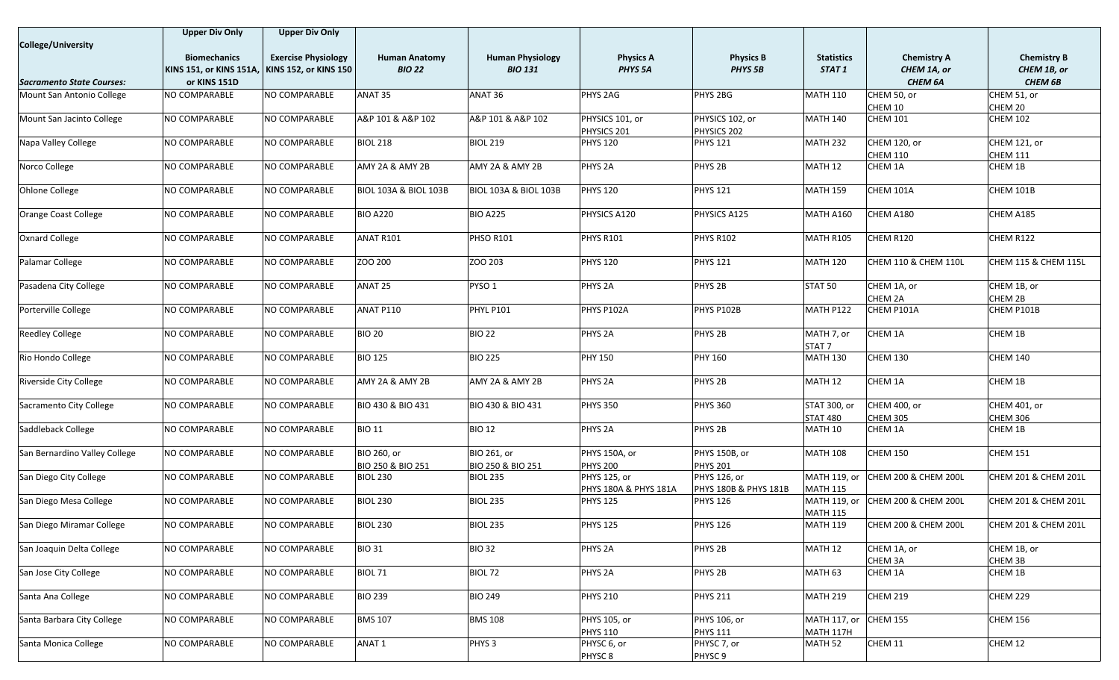|                                  | <b>Upper Div Only</b>          | <b>Upper Div Only</b>        |                                  |                                  |                       |                                  |                    |                                 |                      |
|----------------------------------|--------------------------------|------------------------------|----------------------------------|----------------------------------|-----------------------|----------------------------------|--------------------|---------------------------------|----------------------|
| <b>College/University</b>        |                                |                              |                                  |                                  |                       |                                  |                    |                                 |                      |
|                                  | <b>Biomechanics</b>            | <b>Exercise Physiology</b>   | <b>Human Anatomy</b>             | <b>Human Physiology</b>          | <b>Physics A</b>      | <b>Physics B</b>                 | <b>Statistics</b>  | <b>Chemistry A</b>              | <b>Chemistry B</b>   |
|                                  | <b>KINS 151, or KINS 151A,</b> | <b>KINS 152, or KINS 150</b> | <b>BIO 22</b>                    | <b>BIO 131</b>                   | <b>PHYS 5A</b>        | PHYS <sub>5B</sub>               | STAT 1             | CHEM 1A, or                     | CHEM 1B, or          |
| <b>Sacramento State Courses:</b> | or KINS 151D                   |                              |                                  |                                  |                       |                                  |                    | CHEM 6A                         | <b>CHEM 6B</b>       |
| Mount San Antonio College        | NO COMPARABLE                  | NO COMPARABLE                | ANAT 35                          | ANAT 36                          | PHYS 2AG              | PHYS 2BG                         | <b>MATH 110</b>    | CHEM 50, or                     | CHEM 51, or          |
|                                  |                                |                              |                                  |                                  |                       |                                  |                    | CHEM 10                         | CHEM 20              |
| Mount San Jacinto College        | NO COMPARABLE                  | NO COMPARABLE                | A&P 101 & A&P 102                | A&P 101 & A&P 102                | PHYSICS 101, or       | PHYSICS 102, or                  | <b>MATH 140</b>    | <b>CHEM 101</b>                 | <b>CHEM 102</b>      |
|                                  |                                |                              |                                  |                                  | PHYSICS 201           | PHYSICS 202                      |                    |                                 |                      |
| Napa Valley College              | NO COMPARABLE                  | NO COMPARABLE                | <b>BIOL 218</b>                  | <b>BIOL 219</b>                  | <b>PHYS 120</b>       | <b>PHYS 121</b>                  | <b>MATH 232</b>    | <b>CHEM 120, or</b>             | CHEM 121, or         |
|                                  |                                |                              |                                  |                                  |                       |                                  |                    | <b>CHEM 110</b>                 | <b>CHEM 111</b>      |
| Norco College                    | NO COMPARABLE                  | NO COMPARABLE                | AMY 2A & AMY 2B                  | AMY 2A & AMY 2B                  | PHYS <sub>2A</sub>    | PHYS <sub>2B</sub>               | <b>MATH 12</b>     | CHEM 1A                         | CHEM 1B              |
|                                  |                                |                              |                                  |                                  |                       |                                  |                    |                                 |                      |
| <b>Ohlone College</b>            | NO COMPARABLE                  | NO COMPARABLE                | <b>BIOL 103A &amp; BIOL 103B</b> | <b>BIOL 103A &amp; BIOL 103B</b> | <b>PHYS 120</b>       | <b>PHYS 121</b>                  | <b>MATH 159</b>    | CHEM 101A                       | CHEM 101B            |
| Orange Coast College             | NO COMPARABLE                  | NO COMPARABLE                | <b>BIO A220</b>                  | <b>BIO A225</b>                  | PHYSICS A120          | PHYSICS A125                     | <b>MATH A160</b>   | CHEM A180                       | CHEM A185            |
|                                  |                                |                              |                                  |                                  |                       |                                  |                    |                                 |                      |
| <b>Oxnard College</b>            | NO COMPARABLE                  | NO COMPARABLE                | ANAT R101                        | PHSO R101                        | <b>PHYS R101</b>      | <b>PHYS R102</b>                 | <b>MATH R105</b>   | CHEM R120                       | CHEM R122            |
|                                  |                                |                              |                                  |                                  |                       |                                  |                    |                                 |                      |
| Palamar College                  | NO COMPARABLE                  | NO COMPARABLE                | ZOO 200                          | ZOO 203                          | <b>PHYS 120</b>       | <b>PHYS 121</b>                  | <b>MATH 120</b>    | CHEM 110 & CHEM 110L            | CHEM 115 & CHEM 115L |
|                                  |                                |                              |                                  |                                  |                       |                                  |                    |                                 |                      |
| Pasadena City College            | NO COMPARABLE                  | NO COMPARABLE                | ANAT 25                          | PYSO <sub>1</sub>                | PHYS <sub>2A</sub>    | PHYS <sub>2B</sub>               | STAT 50            | CHEM 1A, or                     | CHEM 1B, or          |
|                                  |                                |                              |                                  |                                  |                       |                                  |                    | CHEM 2A                         | CHEM 2B              |
| Porterville College              | NO COMPARABLE                  | NO COMPARABLE                | ANAT P110                        | PHYL P101                        | PHYS P102A            | PHYS P102B                       | MATH P122          | CHEM P101A                      | CHEM P101B           |
|                                  |                                |                              |                                  |                                  |                       |                                  |                    |                                 |                      |
| <b>Reedley College</b>           | NO COMPARABLE                  | NO COMPARABLE                | <b>BIO 20</b>                    | <b>BIO 22</b>                    | PHYS <sub>2A</sub>    | PHYS <sub>2B</sub>               | MATH 7, or         | CHEM 1A                         | CHEM 1B              |
|                                  |                                |                              |                                  |                                  |                       |                                  | STAT <sub>7</sub>  |                                 |                      |
| Rio Hondo College                | NO COMPARABLE                  | NO COMPARABLE                | <b>BIO 125</b>                   | <b>BIO 225</b>                   | <b>PHY 150</b>        | <b>PHY 160</b>                   | <b>MATH 130</b>    | <b>CHEM 130</b>                 | <b>CHEM 140</b>      |
|                                  |                                |                              |                                  |                                  |                       |                                  |                    |                                 |                      |
| <b>Riverside City College</b>    | NO COMPARABLE                  | NO COMPARABLE                | AMY 2A & AMY 2B                  | AMY 2A & AMY 2B                  | PHYS <sub>2A</sub>    | PHYS <sub>2B</sub>               | MATH 12            | CHEM 1A                         | CHEM 1B              |
| Sacramento City College          | NO COMPARABLE                  | NO COMPARABLE                | <b>BIO 430 &amp; BIO 431</b>     | BIO 430 & BIO 431                | <b>PHYS 350</b>       | <b>PHYS 360</b>                  | STAT 300, or       | CHEM 400, or                    | CHEM 401, or         |
|                                  |                                |                              |                                  |                                  |                       |                                  | <b>STAT 480</b>    | <b>CHEM 305</b>                 | CHEM 306             |
| Saddleback College               | NO COMPARABLE                  | NO COMPARABLE                | <b>BIO 11</b>                    | <b>BIO 12</b>                    | PHYS <sub>2A</sub>    | PHYS <sub>2B</sub>               | MATH 10            | CHEM 1A                         | CHEM 1B              |
|                                  |                                |                              |                                  |                                  |                       |                                  |                    |                                 |                      |
| San Bernardino Valley College    | NO COMPARABLE                  | NO COMPARABLE                | BIO 260, or                      | BIO 261, or                      | PHYS 150A, or         | PHYS 150B, or                    | <b>MATH 108</b>    | CHEM 150                        | <b>CHEM 151</b>      |
|                                  |                                |                              | BIO 250 & BIO 251                | BIO 250 & BIO 251                | <b>PHYS 200</b>       | <b>PHYS 201</b>                  |                    |                                 |                      |
| San Diego City College           | NO COMPARABLE                  | NO COMPARABLE                | <b>BIOL 230</b>                  | <b>BIOL 235</b>                  | PHYS 125, or          | PHYS 126, or                     | MATH 119, or       | CHEM 200 & CHEM 200L            | CHEM 201 & CHEM 201L |
|                                  |                                |                              |                                  |                                  | PHYS 180A & PHYS 181A | <b>PHYS 180B &amp; PHYS 181B</b> | <b>MATH 115</b>    |                                 |                      |
| San Diego Mesa College           | NO COMPARABLE                  | NO COMPARABLE                | <b>BIOL 230</b>                  | <b>BIOL 235</b>                  | <b>PHYS 125</b>       | <b>PHYS 126</b>                  | MATH 119, or       | <b>CHEM 200 &amp; CHEM 200L</b> | CHEM 201 & CHEM 201L |
|                                  |                                |                              |                                  |                                  |                       |                                  | <b>MATH 115</b>    |                                 |                      |
| San Diego Miramar College        | NO COMPARABLE                  | NO COMPARABLE                | <b>BIOL 230</b>                  | <b>BIOL 235</b>                  | PHYS 125              | <b>PHYS 126</b>                  | <b>MATH 119</b>    | CHEM 200 & CHEM 200L            | CHEM 201 & CHEM 201L |
|                                  |                                |                              |                                  |                                  |                       |                                  |                    |                                 |                      |
| San Joaquin Delta College        | NO COMPARABLE                  | NO COMPARABLE                | <b>BIO 31</b>                    | <b>BIO 32</b>                    | PHYS <sub>2A</sub>    | PHYS <sub>2B</sub>               | MATH <sub>12</sub> | CHEM 1A, or                     | CHEM 1B, or          |
|                                  |                                |                              |                                  |                                  |                       |                                  |                    | CHEM 3A                         | CHEM 3B              |
| San Jose City College            | NO COMPARABLE                  | NO COMPARABLE                | <b>BIOL 71</b>                   | BIOL 72                          | PHYS <sub>2A</sub>    | PHYS <sub>2B</sub>               | MATH 63            | CHEM 1A                         | CHEM 1B              |
| Santa Ana College                | NO COMPARABLE                  | NO COMPARABLE                | <b>BIO 239</b>                   | <b>BIO 249</b>                   | <b>PHYS 210</b>       | <b>PHYS 211</b>                  | <b>MATH 219</b>    | <b>CHEM 219</b>                 | <b>CHEM 229</b>      |
|                                  |                                |                              |                                  |                                  |                       |                                  |                    |                                 |                      |
| Santa Barbara City College       | NO COMPARABLE                  | NO COMPARABLE                | <b>BMS 107</b>                   | <b>BMS 108</b>                   | PHYS 105, or          | PHYS 106, or                     | MATH 117, or       | <b>CHEM 155</b>                 | <b>CHEM 156</b>      |
|                                  |                                |                              |                                  |                                  | <b>PHYS 110</b>       | <b>PHYS 111</b>                  | <b>MATH 117H</b>   |                                 |                      |
| Santa Monica College             | NO COMPARABLE                  | NO COMPARABLE                | ANAT <sub>1</sub>                | PHYS <sub>3</sub>                | PHYSC 6, or           | PHYSC 7, or                      | MATH 52            | CHEM 11                         | CHEM 12              |
|                                  |                                |                              |                                  |                                  | PHYSC <sub>8</sub>    | <b>PHYSC9</b>                    |                    |                                 |                      |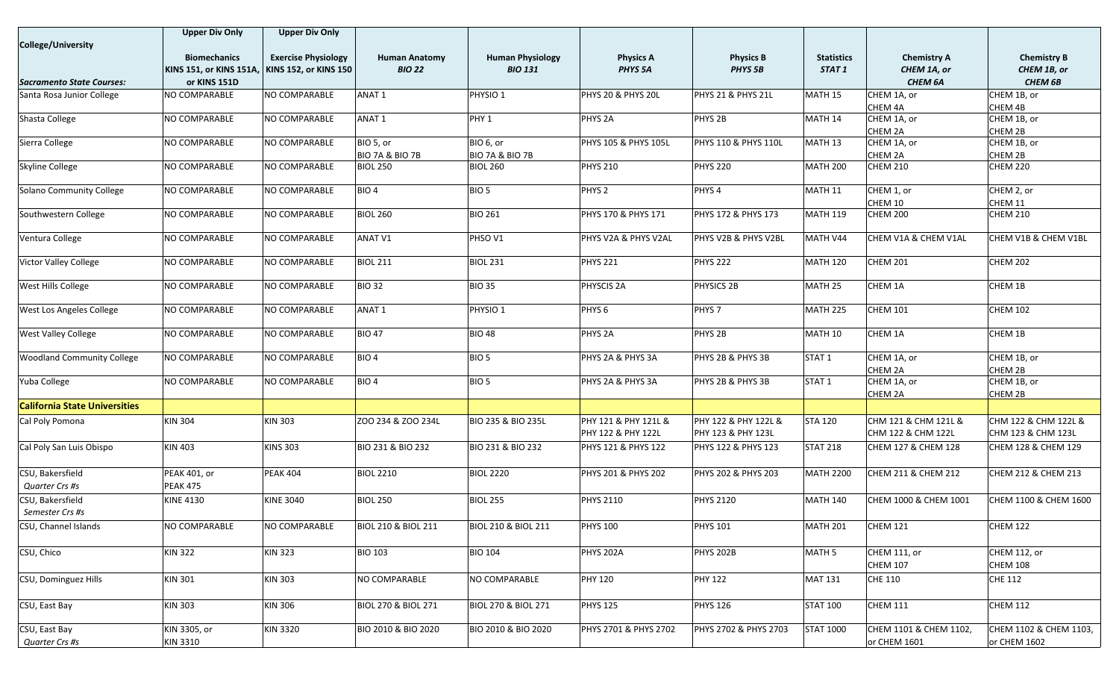|                                      | <b>Upper Div Only</b>   | <b>Upper Div Only</b>      |                                |                                |                       |                                |                   |                        |                        |
|--------------------------------------|-------------------------|----------------------------|--------------------------------|--------------------------------|-----------------------|--------------------------------|-------------------|------------------------|------------------------|
| <b>College/University</b>            |                         |                            |                                |                                |                       |                                |                   |                        |                        |
|                                      | <b>Biomechanics</b>     | <b>Exercise Physiology</b> | <b>Human Anatomy</b>           | <b>Human Physiology</b>        | <b>Physics A</b>      | <b>Physics B</b>               | <b>Statistics</b> | <b>Chemistry A</b>     | <b>Chemistry B</b>     |
|                                      | KINS 151, or KINS 151A, | KINS 152, or KINS 150      | <b>BIO 22</b>                  | <b>BIO 131</b>                 | PHYS <sub>5A</sub>    | PHYS <sub>5B</sub>             | STAT <sub>1</sub> | CHEM 1A, or            | CHEM 1B, or            |
| <b>Sacramento State Courses:</b>     | or KINS 151D            |                            |                                |                                |                       |                                |                   | <b>CHEM 6A</b>         | <b>CHEM 6B</b>         |
| Santa Rosa Junior College            | NO COMPARABLE           | NO COMPARABLE              | ANAT <sub>1</sub>              | PHYSIO <sub>1</sub>            | PHYS 20 & PHYS 20L    | PHYS 21 & PHYS 21L             | MATH 15           | CHEM 1A, or            | CHEM 1B, or            |
|                                      |                         |                            |                                |                                |                       |                                |                   | CHEM 4A                | CHEM 4B                |
| Shasta College                       | NO COMPARABLE           | NO COMPARABLE              | ANAT <sub>1</sub>              | PHY <sub>1</sub>               | PHYS <sub>2A</sub>    | PHYS <sub>2B</sub>             | MATH 14           | CHEM 1A, or            | CHEM 1B, or            |
|                                      |                         |                            |                                |                                |                       |                                |                   | CHEM 2A                | CHEM 2B                |
| Sierra College                       | NO COMPARABLE           | NO COMPARABLE              | BIO 5, or                      | BIO 6, or                      | PHYS 105 & PHYS 105L  | PHYS 110 & PHYS 110L           | MATH 13           | CHEM 1A, or            | CHEM 1B, or            |
|                                      |                         |                            | <b>BIO 7A &amp; BIO 7B</b>     | <b>BIO 7A &amp; BIO 7B</b>     |                       |                                |                   | CHEM 2A                | CHEM 2B                |
| <b>Skyline College</b>               | NO COMPARABLE           | NO COMPARABLE              | <b>BIOL 250</b>                | <b>BIOL 260</b>                | <b>PHYS 210</b>       | <b>PHYS 220</b>                | <b>MATH 200</b>   | <b>CHEM 210</b>        | <b>CHEM 220</b>        |
|                                      |                         |                            |                                |                                |                       |                                |                   |                        |                        |
| Solano Community College             | NO COMPARABLE           | NO COMPARABLE              | BIO <sub>4</sub>               | BIO <sub>5</sub>               | PHYS <sub>2</sub>     | PHYS <sub>4</sub>              | MATH 11           | CHEM 1, or             | CHEM 2, or             |
|                                      |                         |                            |                                |                                |                       |                                |                   | CHEM 10                | CHEM 11                |
| Southwestern College                 | NO COMPARABLE           | NO COMPARABLE              | <b>BIOL 260</b>                | <b>BIO 261</b>                 | PHYS 170 & PHYS 171   | PHYS 172 & PHYS 173            | <b>MATH 119</b>   | <b>CHEM 200</b>        | <b>CHEM 210</b>        |
|                                      |                         |                            |                                |                                |                       |                                |                   |                        |                        |
| Ventura College                      | NO COMPARABLE           | NO COMPARABLE              | <b>ANAT V1</b>                 | PHSO V1                        | PHYS V2A & PHYS V2AL  | PHYS V2B & PHYS V2BL           | MATH V44          | CHEM V1A & CHEM V1AL   | CHEM V1B & CHEM V1BL   |
|                                      |                         |                            |                                |                                |                       |                                |                   |                        |                        |
| Victor Valley College                | NO COMPARABLE           | NO COMPARABLE              | <b>BIOL 211</b>                | <b>BIOL 231</b>                | <b>PHYS 221</b>       | <b>PHYS 222</b>                | <b>MATH 120</b>   | <b>CHEM 201</b>        | <b>CHEM 202</b>        |
|                                      |                         |                            |                                |                                |                       |                                |                   |                        |                        |
| <b>West Hills College</b>            | NO COMPARABLE           | NO COMPARABLE              | <b>BIO 32</b>                  | <b>BIO 35</b>                  | PHYSCIS <sub>2A</sub> | <b>PHYSICS 2B</b>              | MATH 25           | CHEM 1A                | CHEM 1B                |
|                                      |                         |                            |                                |                                |                       |                                |                   |                        |                        |
| West Los Angeles College             | NO COMPARABLE           | NO COMPARABLE              | ANAT <sub>1</sub>              | PHYSIO <sub>1</sub>            | PHYS <sub>6</sub>     | PHYS <sub>7</sub>              | <b>MATH 225</b>   | <b>CHEM 101</b>        | <b>CHEM 102</b>        |
| <b>West Valley College</b>           | NO COMPARABLE           | NO COMPARABLE              | <b>BIO 47</b>                  | <b>BIO 48</b>                  | PHYS <sub>2A</sub>    | PHYS <sub>2B</sub>             | MATH 10           | CHEM 1A                | CHEM 1B                |
|                                      |                         |                            |                                |                                |                       |                                |                   |                        |                        |
| <b>Woodland Community College</b>    | NO COMPARABLE           | NO COMPARABLE              | BIO <sub>4</sub>               | BIO <sub>5</sub>               | PHYS 2A & PHYS 3A     | PHYS 2B & PHYS 3B              | STAT <sub>1</sub> | CHEM 1A, or            | CHEM 1B, or            |
|                                      |                         |                            |                                |                                |                       |                                |                   | CHEM 2A                | CHEM 2B                |
| Yuba College                         | NO COMPARABLE           | NO COMPARABLE              | BIO <sub>4</sub>               | BIO <sub>5</sub>               | PHYS 2A & PHYS 3A     | PHYS 2B & PHYS 3B              | STAT <sub>1</sub> | CHEM 1A, or            | CHEM 1B, or            |
|                                      |                         |                            |                                |                                |                       |                                |                   | CHEM 2A                | CHEM 2B                |
| <b>California State Universities</b> |                         |                            |                                |                                |                       |                                |                   |                        |                        |
| Cal Poly Pomona                      | <b>KIN 304</b>          | <b>KIN 303</b>             | ZOO 234 & ZOO 234L             | <b>BIO 235 &amp; BIO 235L</b>  | PHY 121 & PHY 121L &  | PHY 122 & PHY 122L &           | <b>STA 120</b>    | CHM 121 & CHM 121L &   | CHM 122 & CHM 122L &   |
|                                      |                         |                            |                                |                                | PHY 122 & PHY 122L    | PHY 123 & PHY 123L             |                   | CHM 122 & CHM 122L     | CHM 123 & CHM 123L     |
| Cal Poly San Luis Obispo             | <b>KIN 403</b>          | <b>KINS 303</b>            | BIO 231 & BIO 232              | BIO 231 & BIO 232              | PHYS 121 & PHYS 122   | PHYS 122 & PHYS 123            | <b>STAT 218</b>   | CHEM 127 & CHEM 128    | CHEM 128 & CHEM 129    |
|                                      |                         |                            |                                |                                |                       |                                |                   |                        |                        |
| CSU, Bakersfield                     | <b>PEAK 401, or</b>     | <b>PEAK 404</b>            | <b>BIOL 2210</b>               | <b>BIOL 2220</b>               | PHYS 201 & PHYS 202   | <b>PHYS 202 &amp; PHYS 203</b> | <b>MATH 2200</b>  | CHEM 211 & CHEM 212    | CHEM 212 & CHEM 213    |
| Quarter Crs #s                       | <b>PEAK 475</b>         |                            |                                |                                |                       |                                |                   |                        |                        |
|                                      |                         |                            |                                |                                |                       |                                |                   |                        |                        |
| CSU, Bakersfield                     | <b>KINE 4130</b>        | <b>KINE 3040</b>           | <b>BIOL 250</b>                | <b>BIOL 255</b>                | <b>PHYS 2110</b>      | <b>PHYS 2120</b>               | <b>MATH 140</b>   | CHEM 1000 & CHEM 1001  | CHEM 1100 & CHEM 1600  |
| Semester Crs #s                      |                         |                            |                                |                                |                       |                                |                   |                        |                        |
| CSU, Channel Islands                 | NO COMPARABLE           | NO COMPARABLE              | <b>BIOL 210 &amp; BIOL 211</b> | <b>BIOL 210 &amp; BIOL 211</b> | <b>PHYS 100</b>       | <b>PHYS 101</b>                | <b>MATH 201</b>   | <b>CHEM 121</b>        | CHEM 122               |
|                                      |                         |                            |                                |                                |                       |                                |                   |                        |                        |
| CSU, Chico                           | <b>KIN 322</b>          | <b>KIN 323</b>             | <b>BIO 103</b>                 | <b>BIO 104</b>                 | <b>PHYS 202A</b>      | <b>PHYS 202B</b>               | MATH 5            | CHEM 111, or           | CHEM 112, or           |
|                                      |                         |                            |                                |                                |                       |                                |                   | <b>CHEM 107</b>        | <b>CHEM 108</b>        |
| <b>CSU, Dominguez Hills</b>          | <b>KIN 301</b>          | <b>KIN 303</b>             | NO COMPARABLE                  | NO COMPARABLE                  | <b>PHY 120</b>        | <b>PHY 122</b>                 | <b>MAT 131</b>    | <b>CHE 110</b>         | <b>CHE 112</b>         |
|                                      |                         |                            |                                |                                |                       |                                |                   |                        |                        |
| CSU, East Bay                        | <b>KIN 303</b>          | <b>KIN 306</b>             | <b>BIOL 270 &amp; BIOL 271</b> | <b>BIOL 270 &amp; BIOL 271</b> | <b>PHYS 125</b>       | <b>PHYS 126</b>                | <b>STAT 100</b>   | <b>CHEM 111</b>        | <b>CHEM 112</b>        |
|                                      |                         |                            |                                |                                |                       |                                |                   |                        |                        |
| CSU, East Bay                        | KIN 3305, or            | <b>KIN 3320</b>            | <b>BIO 2010 &amp; BIO 2020</b> | <b>BIO 2010 &amp; BIO 2020</b> | PHYS 2701 & PHYS 2702 | PHYS 2702 & PHYS 2703          | <b>STAT 1000</b>  | CHEM 1101 & CHEM 1102, | CHEM 1102 & CHEM 1103, |
| Quarter Crs #s                       | <b>KIN 3310</b>         |                            |                                |                                |                       |                                |                   | or CHEM 1601           | or CHEM 1602           |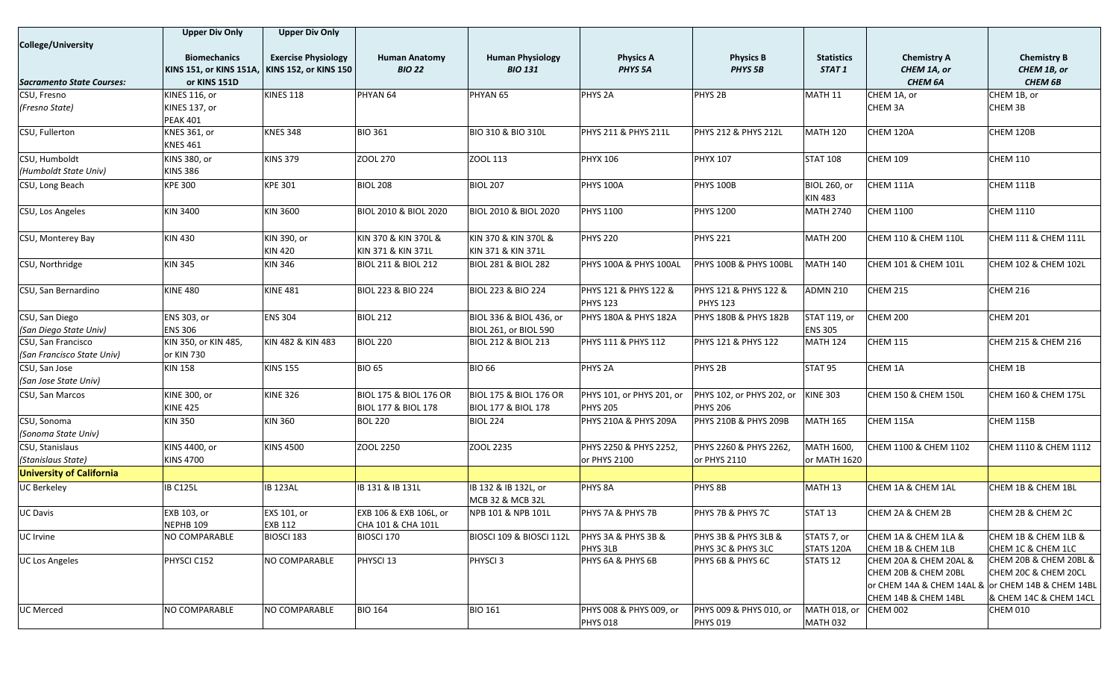|                                 | <b>Upper Div Only</b>   | <b>Upper Div Only</b>        |                                   |                                        |                                    |                                 |                     |                                                   |                                 |
|---------------------------------|-------------------------|------------------------------|-----------------------------------|----------------------------------------|------------------------------------|---------------------------------|---------------------|---------------------------------------------------|---------------------------------|
| <b>College/University</b>       |                         |                              |                                   |                                        |                                    |                                 |                     |                                                   |                                 |
|                                 | <b>Biomechanics</b>     | <b>Exercise Physiology</b>   | <b>Human Anatomy</b>              | <b>Human Physiology</b>                | <b>Physics A</b>                   | <b>Physics B</b>                | <b>Statistics</b>   | <b>Chemistry A</b>                                | <b>Chemistry B</b>              |
|                                 | KINS 151, or KINS 151A, | <b>KINS 152, or KINS 150</b> | <b>BIO 22</b>                     | <b>BIO 131</b>                         | PHYS <sub>5A</sub>                 | <b>PHYS 5B</b>                  | STAT 1              | CHEM 1A, or                                       | CHEM 1B, or                     |
| Sacramento State Courses:       | or KINS 151D            |                              |                                   |                                        |                                    |                                 |                     | <b>CHEM 6A</b>                                    | <b>CHEM 6B</b>                  |
| CSU, Fresno                     | <b>KINES 116, or</b>    | <b>KINES 118</b>             | PHYAN 64                          | PHYAN <sub>65</sub>                    | PHYS <sub>2A</sub>                 | PHYS <sub>2B</sub>              | MATH 11             | CHEM 1A, or                                       | CHEM 1B, or                     |
| (Fresno State)                  | KINES 137, or           |                              |                                   |                                        |                                    |                                 |                     | CHEM 3A                                           | CHEM 3B                         |
|                                 | <b>PEAK 401</b>         |                              |                                   |                                        |                                    |                                 |                     |                                                   |                                 |
| CSU, Fullerton                  | <b>KNES 361, or</b>     | <b>KNES 348</b>              | <b>BIO 361</b>                    | <b>BIO 310 &amp; BIO 310L</b>          | PHYS 211 & PHYS 211L               | <b>PHYS 212 &amp; PHYS 212L</b> | MATH 120            | CHEM 120A                                         | CHEM 120B                       |
|                                 | <b>KNES 461</b>         |                              |                                   |                                        |                                    |                                 |                     |                                                   |                                 |
| CSU, Humboldt                   | KINS 380, or            | <b>KINS 379</b>              | ZOOL 270                          | ZOOL 113                               | <b>PHYX 106</b>                    | <b>PHYX 107</b>                 | <b>STAT 108</b>     | <b>CHEM 109</b>                                   | <b>CHEM 110</b>                 |
| (Humboldt State Univ)           | <b>KINS 386</b>         |                              |                                   |                                        |                                    |                                 |                     |                                                   |                                 |
| CSU, Long Beach                 | <b>KPE 300</b>          | <b>KPE 301</b>               | <b>BIOL 208</b>                   | <b>BIOL 207</b>                        | <b>PHYS 100A</b>                   | <b>PHYS 100B</b>                | <b>BIOL 260, or</b> | CHEM 111A                                         | CHEM 111B                       |
|                                 |                         |                              |                                   |                                        |                                    |                                 | KIN 483             |                                                   |                                 |
| CSU, Los Angeles                | <b>KIN 3400</b>         | KIN 3600                     | <b>BIOL 2010 &amp; BIOL 2020</b>  | BIOL 2010 & BIOL 2020                  | <b>PHYS 1100</b>                   | <b>PHYS 1200</b>                | <b>MATH 2740</b>    | <b>CHEM 1100</b>                                  | <b>CHEM 1110</b>                |
| CSU, Monterey Bay               | <b>KIN 430</b>          | KIN 390, or                  | KIN 370 & KIN 370L &              | KIN 370 & KIN 370L &                   | <b>PHYS 220</b>                    | <b>PHYS 221</b>                 | <b>MATH 200</b>     | CHEM 110 & CHEM 110L                              | <b>CHEM 111 &amp; CHEM 111L</b> |
|                                 |                         | <b>KIN 420</b>               | KIN 371 & KIN 371L                | KIN 371 & KIN 371L                     |                                    |                                 |                     |                                                   |                                 |
| CSU, Northridge                 | <b>KIN 345</b>          | <b>KIN 346</b>               | <b>BIOL 211 &amp; BIOL 212</b>    | <b>BIOL 281 &amp; BIOL 282</b>         | PHYS 100A & PHYS 100AL             | PHYS 100B & PHYS 100BL          | <b>MATH 140</b>     | CHEM 101 & CHEM 101L                              | CHEM 102 & CHEM 102L            |
| CSU, San Bernardino             | <b>KINE 480</b>         | <b>KINE 481</b>              | BIOL 223 & BIO 224                | <b>BIOL 223 &amp; BIO 224</b>          | PHYS 121 & PHYS 122 &              | PHYS 121 & PHYS 122 &           | ADMN 210            | <b>CHEM 215</b>                                   | <b>CHEM 216</b>                 |
|                                 |                         |                              |                                   |                                        | <b>PHYS 123</b>                    | <b>PHYS 123</b>                 |                     |                                                   |                                 |
| CSU, San Diego                  | ENS 303, or             | <b>ENS 304</b>               | <b>BIOL 212</b>                   | BIOL 336 & BIOL 436, or                | PHYS 180A & PHYS 182A              | PHYS 180B & PHYS 182B           | STAT 119, or        | <b>CHEM 200</b>                                   | <b>CHEM 201</b>                 |
| (San Diego State Univ)          | <b>ENS 306</b>          |                              |                                   | BIOL 261, or BIOL 590                  |                                    |                                 | <b>ENS 305</b>      |                                                   |                                 |
| CSU, San Francisco              | KIN 350, or KIN 485,    | KIN 482 & KIN 483            | <b>BIOL 220</b>                   | BIOL 212 & BIOL 213                    | PHYS 111 & PHYS 112                | PHYS 121 & PHYS 122             | MATH 124            | <b>CHEM 115</b>                                   | CHEM 215 & CHEM 216             |
| (San Francisco State Univ)      | or KIN 730              |                              |                                   |                                        |                                    |                                 |                     |                                                   |                                 |
| CSU, San Jose                   | <b>KIN 158</b>          | <b>KINS 155</b>              | <b>BIO 65</b>                     | <b>BIO 66</b>                          | PHYS <sub>2A</sub>                 | PHYS <sub>2B</sub>              | STAT 95             | CHEM 1A                                           | CHEM 1B                         |
| (San Jose State Univ)           |                         |                              |                                   |                                        |                                    |                                 |                     |                                                   |                                 |
| CSU, San Marcos                 | <b>KINE 300, or</b>     | <b>KINE 326</b>              | <b>BIOL 175 &amp; BIOL 176 OR</b> | <b>BIOL 175 &amp; BIOL 176 OR</b>      | PHYS 101, or PHYS 201, or          | PHYS 102, or PHYS 202, or       | <b>KINE 303</b>     | CHEM 150 & CHEM 150L                              | CHEM 160 & CHEM 175L            |
|                                 | <b>KINE 425</b>         |                              | <b>BIOL 177 &amp; BIOL 178</b>    | BIOL 177 & BIOL 178                    | <b>PHYS 205</b>                    | <b>PHYS 206</b>                 |                     |                                                   |                                 |
| CSU, Sonoma                     | <b>KIN 350</b>          | <b>KIN 360</b>               | <b>BOL 220</b>                    | <b>BIOL 224</b>                        | PHYS 210A & PHYS 209A              | PHYS 210B & PHYS 209B           | <b>MATH 165</b>     | CHEM 115A                                         | CHEM 115B                       |
| (Sonoma State Univ)             |                         |                              |                                   |                                        |                                    |                                 |                     |                                                   |                                 |
| CSU, Stanislaus                 | KINS 4400, or           | <b>KINS 4500</b>             | ZOOL 2250                         | ZOOL 2235                              | PHYS 2250 & PHYS 2252,             | PHYS 2260 & PHYS 2262           | MATH 1600,          | CHEM 1100 & CHEM 1102                             | CHEM 1110 & CHEM 1112           |
| (Stanislaus State)              | <b>KINS 4700</b>        |                              |                                   |                                        | or PHYS 2100                       | or PHYS 2110                    | or MATH 1620        |                                                   |                                 |
| <b>University of California</b> |                         |                              |                                   |                                        |                                    |                                 |                     |                                                   |                                 |
| <b>UC Berkeley</b>              | <b>IB C125L</b>         | <b>IB 123AL</b>              | <b>IB 131 &amp; IB 131L</b>       | IB 132 & IB 132L, or                   | PHYS 8A                            | PHYS 8B                         | MATH 13             | CHEM 1A & CHEM 1AL                                | CHEM 1B & CHEM 1BL              |
| <b>UC Davis</b>                 | EXB 103, or             | EXS 101, or                  | EXB 106 & EXB 106L, or            | MCB 32 & MCB 32L<br>NPB 101 & NPB 101L | PHYS 7A & PHYS 7B                  | PHYS 7B & PHYS 7C               | STAT <sub>13</sub>  | CHEM 2A & CHEM 2B                                 | CHEM 2B & CHEM 2C               |
|                                 | NEPHB 109               | EXB 112                      | CHA 101 & CHA 101L                |                                        |                                    |                                 |                     |                                                   |                                 |
| UC Irvine                       | NO COMPARABLE           | BIOSCI 183                   | BIOSCI 170                        | BIOSCI 109 & BIOSCI 112L               | <b>PHYS 3A &amp; PHYS 3B &amp;</b> | PHYS 3B & PHYS 3LB &            | STATS 7, or         | CHEM 1A & CHEM 1LA &                              | CHEM 1B & CHEM 1LB &            |
|                                 |                         |                              |                                   |                                        | PHYS 3LB                           | PHYS 3C & PHYS 3LC              | STATS 120A          | CHEM 1B & CHEM 1LB                                | CHEM 1C & CHEM 1LC              |
| <b>UC Los Angeles</b>           | PHYSCI C152             | NO COMPARABLE                | PHYSCI 13                         | PHYSCI <sub>3</sub>                    | PHYS 6A & PHYS 6B                  | PHYS 6B & PHYS 6C               | STATS 12            | CHEM 20A & CHEM 20AL &                            | CHEM 20B & CHEM 20BL &          |
|                                 |                         |                              |                                   |                                        |                                    |                                 |                     | CHEM 20B & CHEM 20BL                              | CHEM 20C & CHEM 20CL            |
|                                 |                         |                              |                                   |                                        |                                    |                                 |                     | or CHEM 14A & CHEM 14AL & or CHEM 14B & CHEM 14BL |                                 |
|                                 |                         |                              |                                   |                                        |                                    |                                 |                     | CHEM 14B & CHEM 14BL                              | & CHEM 14C & CHEM 14CL          |
| <b>UC Merced</b>                | NO COMPARABLE           | NO COMPARABLE                | <b>BIO 164</b>                    | <b>BIO 161</b>                         | PHYS 008 & PHYS 009, or            | PHYS 009 & PHYS 010, or         | MATH 018, or        | <b>CHEM 002</b>                                   | CHEM 010                        |
|                                 |                         |                              |                                   |                                        | <b>PHYS 018</b>                    | <b>PHYS 019</b>                 | <b>MATH 032</b>     |                                                   |                                 |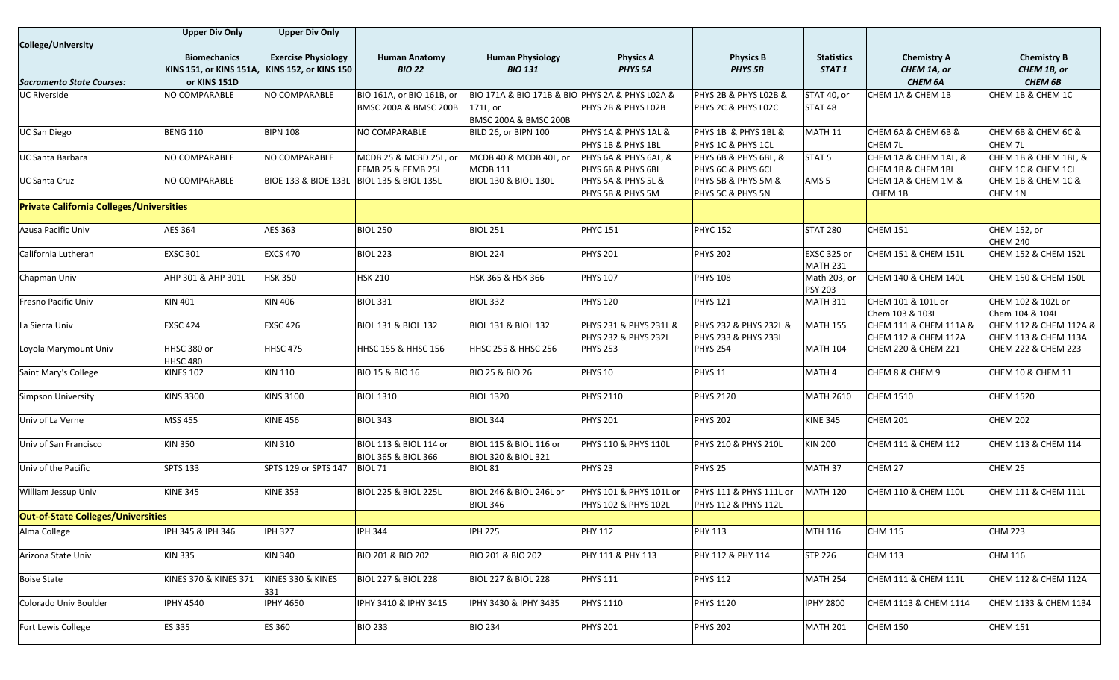|                                                 | <b>Upper Div Only</b>                         | <b>Upper Div Only</b>      |                                            |                                                 |                                 |                         |                    |                        |                        |
|-------------------------------------------------|-----------------------------------------------|----------------------------|--------------------------------------------|-------------------------------------------------|---------------------------------|-------------------------|--------------------|------------------------|------------------------|
| College/University                              |                                               |                            |                                            |                                                 |                                 |                         |                    |                        |                        |
|                                                 | <b>Biomechanics</b>                           | <b>Exercise Physiology</b> | <b>Human Anatomy</b>                       | <b>Human Physiology</b>                         | <b>Physics A</b>                | <b>Physics B</b>        | <b>Statistics</b>  | <b>Chemistry A</b>     | <b>Chemistry B</b>     |
|                                                 | KINS 151, or KINS 151A, KINS 152, or KINS 150 |                            | <b>BIO 22</b>                              | <b>BIO 131</b>                                  | PHYS <sub>5A</sub>              | PHYS <sub>5B</sub>      | STAT 1             | CHEM 1A, or            | CHEM 1B, or            |
| <b>Sacramento State Courses:</b>                | or KINS 151D                                  |                            |                                            |                                                 |                                 |                         |                    | CHEM 6A                | <b>CHEM 6B</b>         |
| UC Riverside                                    | NO COMPARABLE                                 | NO COMPARABLE              | BIO 161A, or BIO 161B, or                  | BIO 171A & BIO 171B & BIO PHYS 2A & PHYS L02A & |                                 | PHYS 2B & PHYS LO2B &   | STAT 40, or        | CHEM 1A & CHEM 1B      | CHEM 1B & CHEM 1C      |
|                                                 |                                               |                            | <b>BMSC 200A &amp; BMSC 200B</b>           | 171L, or                                        | PHYS 2B & PHYS LO2B             | PHYS 2C & PHYS L02C     | STAT <sub>48</sub> |                        |                        |
|                                                 |                                               |                            |                                            | <b>BMSC 200A &amp; BMSC 200B</b>                |                                 |                         |                    |                        |                        |
| <b>UC San Diego</b>                             | <b>BENG 110</b>                               | <b>BIPN 108</b>            | NO COMPARABLE                              | BILD 26, or BIPN 100                            | PHYS 1A & PHYS 1AL &            | PHYS 1B & PHYS 1BL &    | MATH 11            | CHEM 6A & CHEM 6B &    | CHEM 6B & CHEM 6C &    |
|                                                 |                                               |                            |                                            |                                                 | PHYS 1B & PHYS 1BL              | PHYS 1C & PHYS 1CL      |                    | CHEM 7L                | CHEM 7L                |
| <b>UC Santa Barbara</b>                         | NO COMPARABLE                                 | NO COMPARABLE              | MCDB 25 & MCBD 25L, or                     | MCDB 40 & MCDB 40L, or                          | PHYS 6A & PHYS 6AL, &           | PHYS 6B & PHYS 6BL, &   | STAT <sub>5</sub>  | CHEM 1A & CHEM 1AL, &  | CHEM 1B & CHEM 1BL, &  |
|                                                 |                                               |                            | EEMB 25 & EEMB 25L                         | <b>MCDB 111</b>                                 | PHYS 6B & PHYS 6BL              | PHYS 6C & PHYS 6CL      |                    | CHEM 1B & CHEM 1BL     | CHEM 1C & CHEM 1CL     |
| <b>UC Santa Cruz</b>                            | NO COMPARABLE                                 |                            | BIOE 133 & BIOE 133L  BIOL 135 & BIOL 135L | <b>BIOL 130 &amp; BIOL 130L</b>                 | PHYS 5A & PHYS 5L &             | PHYS 5B & PHYS 5M &     | AMS <sub>5</sub>   | CHEM 1A & CHEM 1M &    | CHEM 1B & CHEM 1C &    |
|                                                 |                                               |                            |                                            |                                                 | PHYS 5B & PHYS 5M               | PHYS 5C & PHYS 5N       |                    | CHEM 1B                | CHEM 1N                |
| <b>Private California Colleges/Universities</b> |                                               |                            |                                            |                                                 |                                 |                         |                    |                        |                        |
| Azusa Pacific Univ                              | <b>AES 364</b>                                | AES 363                    | <b>BIOL 250</b>                            | <b>BIOL 251</b>                                 | <b>PHYC 151</b>                 | <b>PHYC 152</b>         | <b>STAT 280</b>    | <b>CHEM 151</b>        | <b>CHEM 152, or</b>    |
|                                                 |                                               |                            |                                            |                                                 |                                 |                         |                    |                        | <b>CHEM 240</b>        |
| California Lutheran                             | <b>EXSC 301</b>                               | <b>EXCS 470</b>            | <b>BIOL 223</b>                            | <b>BIOL 224</b>                                 | <b>PHYS 201</b>                 | <b>PHYS 202</b>         | EXSC 325 or        | CHEM 151 & CHEM 151L   | CHEM 152 & CHEM 152L   |
|                                                 |                                               |                            |                                            |                                                 |                                 |                         | <b>MATH 231</b>    |                        |                        |
| Chapman Univ                                    | AHP 301 & AHP 301L                            | <b>HSK 350</b>             | <b>HSK 210</b>                             | HSK 365 & HSK 366                               | <b>PHYS 107</b>                 | <b>PHYS 108</b>         | Math 203, or       | CHEM 140 & CHEM 140L   | CHEM 150 & CHEM 150L   |
|                                                 |                                               |                            |                                            |                                                 |                                 |                         | <b>PSY 203</b>     |                        |                        |
| Fresno Pacific Univ                             | KIN 401                                       | <b>KIN 406</b>             | <b>BIOL 331</b>                            | <b>BIOL 332</b>                                 | <b>PHYS 120</b>                 | <b>PHYS 121</b>         | <b>MATH 311</b>    | CHEM 101 & 101L or     | CHEM 102 & 102L or     |
|                                                 |                                               |                            |                                            |                                                 |                                 |                         |                    | Chem 103 & 103L        | Chem 104 & 104L        |
| La Sierra Univ                                  | <b>EXSC 424</b>                               | <b>EXSC 426</b>            | <b>BIOL 131 &amp; BIOL 132</b>             | <b>BIOL 131 &amp; BIOL 132</b>                  | PHYS 231 & PHYS 231L &          | PHYS 232 & PHYS 232L &  | <b>MATH 155</b>    | CHEM 111 & CHEM 111A & | CHEM 112 & CHEM 112A & |
|                                                 |                                               |                            |                                            |                                                 | <b>PHYS 232 &amp; PHYS 232L</b> | PHYS 233 & PHYS 233L    |                    | CHEM 112 & CHEM 112A   | CHEM 113 & CHEM 113A   |
| Loyola Marymount Univ                           | HHSC 380 or<br><b>HHSC 480</b>                | <b>HHSC 475</b>            | HHSC 155 & HHSC 156                        | HHSC 255 & HHSC 256                             | <b>PHYS 253</b>                 | <b>PHYS 254</b>         | <b>MATH 104</b>    | CHEM 220 & CHEM 221    | CHEM 222 & CHEM 223    |
| Saint Mary's College                            | <b>KINES 102</b>                              | <b>KIN 110</b>             | BIO 15 & BIO 16                            | BIO 25 & BIO 26                                 | PHYS <sub>10</sub>              | PHYS <sub>11</sub>      | MATH 4             | CHEM 8 & CHEM 9        | CHEM 10 & CHEM 11      |
|                                                 |                                               |                            |                                            |                                                 |                                 |                         |                    |                        |                        |
| Simpson University                              | <b>KINS 3300</b>                              | <b>KINS 3100</b>           | <b>BIOL 1310</b>                           | <b>BIOL 1320</b>                                | <b>PHYS 2110</b>                | <b>PHYS 2120</b>        | <b>MATH 2610</b>   | <b>CHEM 1510</b>       | <b>CHEM 1520</b>       |
| Univ of La Verne                                | MSS 455                                       | <b>KINE 456</b>            | <b>BIOL 343</b>                            | <b>BIOL 344</b>                                 | <b>PHYS 201</b>                 | <b>PHYS 202</b>         | <b>KINE 345</b>    | <b>CHEM 201</b>        | <b>CHEM 202</b>        |
| Univ of San Francisco                           | <b>KIN 350</b>                                | KIN 310                    | BIOL 113 & BIOL 114 or                     | BIOL 115 & BIOL 116 or                          | <b>PHYS 110 &amp; PHYS 110L</b> | PHYS 210 & PHYS 210L    | <b>KIN 200</b>     | CHEM 111 & CHEM 112    | CHEM 113 & CHEM 114    |
| Univ of the Pacific                             | <b>SPTS 133</b>                               | SPTS 129 or SPTS 147       | <b>BIOL 365 &amp; BIOL 366</b><br>BIOL 71  | <b>BIOL 320 &amp; BIOL 321</b><br>BIOL 81       | PHYS <sub>23</sub>              | PHYS <sub>25</sub>      | MATH 37            | CHEM 27                | CHEM 25                |
|                                                 |                                               |                            |                                            |                                                 |                                 |                         |                    |                        |                        |
| William Jessup Univ                             | <b>KINE 345</b>                               | <b>KINE 353</b>            | <b>BIOL 225 &amp; BIOL 225L</b>            | BIOL 246 & BIOL 246L or                         | PHYS 101 & PHYS 101L or         | PHYS 111 & PHYS 111L or | <b>MATH 120</b>    | CHEM 110 & CHEM 110L   | CHEM 111 & CHEM 111L   |
|                                                 |                                               |                            |                                            | <b>BIOL 346</b>                                 | PHYS 102 & PHYS 102L            | PHYS 112 & PHYS 112L    |                    |                        |                        |
| <b>Out-of-State Colleges/Universities</b>       |                                               |                            |                                            |                                                 |                                 |                         |                    |                        |                        |
| Alma College                                    | IPH 345 & IPH 346                             | <b>IPH 327</b>             | <b>IPH 344</b>                             | <b>IPH 225</b>                                  | <b>PHY 112</b>                  | <b>PHY 113</b>          | MTH 116            | <b>CHM 115</b>         | <b>CHM 223</b>         |
| Arizona State Univ                              | <b>KIN 335</b>                                | <b>KIN 340</b>             | BIO 201 & BIO 202                          | BIO 201 & BIO 202                               | PHY 111 & PHY 113               | PHY 112 & PHY 114       | <b>STP 226</b>     | <b>CHM 113</b>         | <b>CHM 116</b>         |
| <b>Boise State</b>                              | KINES 370 & KINES 371                         | KINES 330 & KINES<br>331   | <b>BIOL 227 &amp; BIOL 228</b>             | <b>BIOL 227 &amp; BIOL 228</b>                  | <b>PHYS 111</b>                 | <b>PHYS 112</b>         | <b>MATH 254</b>    | CHEM 111 & CHEM 111L   | CHEM 112 & CHEM 112A   |
| Colorado Univ Boulder                           | <b>IPHY 4540</b>                              | <b>IPHY 4650</b>           | IPHY 3410 & IPHY 3415                      | IPHY 3430 & IPHY 3435                           | <b>PHYS 1110</b>                | <b>PHYS 1120</b>        | <b>IPHY 2800</b>   | CHEM 1113 & CHEM 1114  | CHEM 1133 & CHEM 1134  |
| Fort Lewis College                              | ES 335                                        | <b>ES 360</b>              | <b>BIO 233</b>                             | <b>BIO 234</b>                                  | <b>PHYS 201</b>                 | <b>PHYS 202</b>         | <b>MATH 201</b>    | CHEM 150               | <b>CHEM 151</b>        |